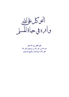التوكل عاالله<br>وأثرة في حياة المسل

جمع الفقير إلى الله تعالى عبد الله بن جار الله بن إبراهيم الجار الله غفر الله له ولوالديه ولجميع المسلمين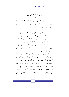بسم الله الرحمن الرحيم مقدمة

الحمد لله , ب العالمين، وأشهد أن لا إله إلا الله وحده لا شريك له، وأشهد أن محمدا عبده ورسوله وصلى الله عليه وعلى آله وأصحابه أجمعين.

و بعد :

أخي المسلم اعلم أن التوكل على الله والاعتماد عليه في حلب المنافع ودفع المضار وحصول الأرزاق وحصول النصر على الأعداء وشفاء المرضى وغير ذلك من أهم المهمات وأوجب الواجبات، ومن صفات المؤمنين، ومن شروط الإيمان، ومن أسباب قوة القلب ونشاطه، وطمأنينة النفس وسكينتها وراحتها، ومن أسباب الرزق، ويورث الثقة بالله وكفايته لعبده، وهو من أهم عناصر عقيدة المسلم الصحيحة في الله تعالى.

كما يأتي في هذه الرسالة من نصوص الكتاب العزيز والسنة المطهرة، كما أن التوكل والاعتماد على غير الله تعالى في جلب نفع أو دفع ضر أو حصول نصر أو غير ذلك مما لا يقدر عليه إلا الله سبحانه وتعالى شرك بالله تعالى ينافي عقيدة التوحيد، لذا فقد جمعت في هذه الرسالة ما تيسر لي جمعه في هذا الموضوع، وهي مستفادة من كلام الله تعالى، وكلام رسول الله ﷺ وكلام المحققين من أهل العلم، أسأل الله تعالى بأسمائه الحسبي وصفاته العلي أن ينفع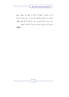ها من كتبها أو طبعها أنو قرأها أو سمعها وأن يوفقنا وجميع المسلمين إلى التوكل والاعتماد عليه في أمور ديننا ودنيانا وآخرتنا وهو حسبنا ونعم الوكيل ولا حول ولا قوة إلا بالله العلي العظيم وصلى الله وسلم على نبينا محمد وعلى آله وأصحابه أجمعين . المؤلف

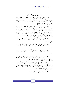باب في اليقين والتوكل قال الله تعالى: ﴿وَلَمَّا رَأَى الْمُؤْمِنُونَ الأَحْزَابَ قَالُوا هَذَا مَا وَعَدَنَا اللَّهُ وَرَسُولُهُ وَصَدَقَ اللَّهُ وَرَسُولُهُ وَمَا زَادَهُمْ إِلاَّ إِيمَانًا وَتَسْلِيمًا﴾ [الأحزاب: ٢٢].

وقال تعالى: ﴿الَّذِينَ قَالَ لَهُمُ النَّاسُ إِنَّ النَّاسَ قَدْ جَمَعُوا لَكُمْ فَاخْشَوْهُمْ فَزَادَهُمْ إِيمَانًا وَقَالُوا حَسْبُنَا اللهُ وَنعْمَ الْوَكيلُ \* فَانْقَلَبُوا بنعْمَة منَ الله وَفَضْل لَمْ يَمْسَسْهُمْ سُوءٌ وَاتَّبَعُوا رضُوَانَ الله وَاللهُ ذُو فَضْلٍ عَظيمٍ﴾ [آل عمران: ١٧٣، ١٧٤]. وقال تعالى: ﴿وَتَوَكَّلْ عَلَى الْحَيِّ الَّذِي لا يَمُوتُ﴾

[الفرقان: ٥٨].

وقال تعالى: ﴿وَعَلَى الله فَلْيَتَوَكَّلِ الْمُؤْمِنُونَ﴾ [إبراهيم:  $\sqrt{11}$ 

وقال تعالى: ﴿فَإِذَا عَزَمْتَ فَتَوَكَّلْ عَلَى اللهُ﴾ [آل عمران:  $.\lceil \cdot \circ \circ$ 

والآيات في الأمر بالتوكل كثيرة معلومة، وقال تعالى: ﴿وَهَنْ يَتَوَكَّلْ عَلَى الله فَهُوَ حَسْبُهُ﴾ [الطلاق: ٣].

أي كافيه، وقال تعالى: ﴿إِنَّمَا الْمُؤْمِنُونَ الَّذِينَ إِذَا ذُكِرَ اللَّهُ وَجلَتْ قُلُوبُهُمْ وَإِذَا تُليَتْ عَلَيْهِمْ آيَاتُهُ زَادَتْهُمْ إِيمَانًا وَعَلَى رَبِّهِمْ يَتَوَكَّلُونَ﴾ [الأنفال: ٢].

والآيات في فضل التوكل كثيرة معروفة.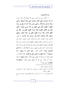وأما الأحاديث:

١– الأول: عن ابن عباس رضي الله عنهما قال: قال رسول الله ﷺ «عرضت على الأمم، فرأيت النبي ومعه الرهيط، والنبي ومعه الرجل والرجلان، والنبي وليس معه أحد إذ رفع لي سواد عظيم `` فظننت أفمم أمتي، فقيل لي: هذا موسى وقومه، ولكن انظر إلى الأفق، فنظرت فإذا سواد عظيم، فقيل لي: انظر إلى الأفق الآخر، فإذا سواد عظيم، فقيل لي: هذه أمتك، ومعهم سبعون ألفا يدخلون الجنة بغير حساب ولا عذاب» ثم فض فدخل مترله، فخاض الناس في أولئك الذين يدخلون الجنة بغير حساب ولا عذاب، فقال بعضهم: فلعلهم الذين صحبوا رسول الله ﷺ وقال بعضهم: فلعلهم الذين ولدوا في الإسلام، فلم يشركوا بالله شيئًا وذكروا أشياء فخرج عليهم رسول الله ﷺ فقال: «ما ا**لذي** تخوضون فيه»؟ فأحبره فقال: «هم اللَّذين لا يرقون، ولا يسترقون<sup>(٢)</sup> ولا يتطيرون وعلى ربمم يتوكلون» فقام عكاشة بن محصن فقال: ادع الله أن يجعلني منهم فقال: «أ**نت منهم**» ثم قالم رحل آخر فقال: ادع الله أن يجعلني منهم، فقال: «**سبقك بما** عكاشة» متفق عليه<sup>(٣)</sup>.

- أي: أشخاص كثيرة.  $(1)$
- (2) أي لا يطلبون الرقية من غيرهم، ولا يتطيرون أي: لا يتشاءمون بالطيور ونحوها. (3) البخاري (١٠/ ١٣٠) مسلم (٢٢٠) ولفظة يرقون انفرد هما مسلم،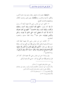«ا**لرهيط**» بضم الراء، تصغير رهط، وهم دون عشرة أنفس، والأفق، الناحية والجانب، و«عكاشة» بضم العين وتشديد الكاف وبتخفيفها والتشديد أفصح.

٢– الثاني: عن ابن عباس رضي الله عنهما أيضا أن رسول الله ﷺ كان يقول: «**اللهم لك أسلمت وبك آمنت، وعليك** توكلت، وإليك أنبت، وبك خاصمت<sup>(١)</sup> اللهم إيي أعوذ بعزتك لا إله إلا أنت أن تضلني أنت الحي الذي لا يموت، والجن والإنس يموتون» متفق عليه<sup>(٢)</sup> وهذا لفظ مسلم، واختصره البخار ي.

٣- الثالث: عن ابن عباس رضى الله عنهما أيضًا قال: حسبنا الله ونعم الوكيل، قالها إبراهيم ﷺ حين ألقي في النار، وقالها محمد ﷺ حين قالوا: ﴿الَّذِينَ قَالَ لَهُمُ النَّاسُ إِنَّ النَّاسَ قَدْ جَمَعُوا لَكُمْ فَاخْشَوْهُمْ فَزَادَهُمْ إِيمَانًا وَقَالُوا حَسْبُنَا اللَّهُ وَنعْمَ الْوَكيلُ﴾، واه البخاري (<sup>٣)</sup>.

وفي رواية له عن ابن عباس رضي الله عنهما قال: كان آخر قول إبراهيم ﷺ حين ألقى في النار: حسبي الله ونعم الوكيل.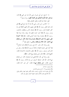٤– الرابع: عن أبي هريرة رضي الله عنه عن النبي ﷺ قال: «يدخل الجنة أقوام أفئدهم مثل أفئدة الطير» رواه مسلم<sup>(١</sup>).

قيل: معناه متوكلون، وقيل: قلوهم رقيقة.

٥– الخامس: عن جابر رضي الله عنه أنه غزا مع النبي ﷺ قبل نِحدٍ، فلما قفل رسول الله ﷺ قفل معهم، فأدرِكتهم القافلة في واد كثير العضاه فترل رسول الله ﷺ وتفرق الناس يستظلون بالشجر، ونزل رسول الله ﷺ تحت سمرة، فعلق هما سيفه، ونمنا نومة فإذا رسول الله ﷺ يدعونا، وإذا عنده أعرابي فقال: «إن هذا اختوط على سيفي وأنا نائم، فاستيقظ وهو في يده صلتا، قال: من يمنعك مني؟ قلت: الله، ثلاثًا ولم يعاقبه وجلس » متفق عليه<sup>(٢)</sup>.

وفي رواية: قال جابر: كنا مع رسول الله ﷺ بذات الرقاع<sup>(٣)</sup> فإذا أتينا على شجرة ظليلة تركناها لرسول الله ﷺ فجاء رجل من المشركين وسيف رسول الله ﷺ معلق بالشجرة، فاخترطه فقال: تَخَافِيْ؟ قَالَ: «لاً» قَالَ: فَمِن يَمْنِعِكَ مِيْ؟ قَالَ: «اللهُ».

وفي رواية أبي بكر الإسماعيلي في صحيحه، قال: من يمنعك مني؟ قال: الله قال: فسقط السيف من يده فأحذ رسول الله ﷺ السيف فقال: «من **بمنعك مني؟**» فقال: كن حير آخذ فقال:

 $(1)$ برقىم (١٤٠٢).  $(2)$  البخاري (٦/ ٧١) ومسلم (٨٤٣). (3) أي بغزوة ذات الرقاع، وسميت بذلك لألهم رقعوا فيها راياقمم وقيل: لأن أقدامهم نقبت فكانوا يلفون عليها الخرق، وقيل غير ذلك.

$$
\lambda
$$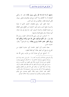«تشهد أن لا إله إلا الله، وأنى رسول الله؟» قال: لا، ولكني أعاهدك أن لا أقاتلك ولا أكون مع قوم يقاتلونك فخلى سبيله، فأتي أصحابه فقال: جئتكم من عند خير الناس.

قوله: قفل، أي: رجع والعضاه، الشجر الذي له شوك والسمرة بفتح السين وضم الميم: الشجرة من الطلح وهي العظام من شجرة العضاه، واحترط السيف، أي: سله وهو في يده، صلتا، أي مسلولا، وهو بفتح الصاد وضمها.

٦– السادس: عن عمر رضي الله عنه قال: سمعت رسول الله ﷺ يقول: «لو أنكم تتوكلون على الله حق توكله لرزقكم كما يرزق الطير، تغدو خماصًا وتروح بطانًا» رواه الترمذي<sup>(١)</sup> وقال: حديث حسن.

معناه تذهب أول النهار خماصا، أي: ضامرة البطون من الجو ع، وترجع آخر النهار بطانا: أي ممتلئة البطون.

٧– السابع: عن أبي عمارة البراء بن عازب رضي الله عنه

(1) الترمذي (٢٣٤٥) وأخرجه أحمد (١/ ٣٠) وابن ماجه (٤١٦٤) وإسناده صحيح، وصححه الحاكم (٤– ٣١٨) قال السيوطي في قوت المغتذي: ليس في هذا الحديث دلالة على القعود عن الكسب، بل فيه ما يدل على طلب الرزق لأن الطير إذا غدت فإنها تغدو لطلب الرزق، وإنما أراد والله أعلم، لو توكلوا على الله تعالى في ذهاهم ومجيئهم وتصرفهم ورأوا أن الخير بيده ومن عنده، لم ينصرفوا إلا سالمين غانمين، كالطير تغدو خماصًا، وتعود بطانًا، لكنهم يعتمدون على قوقمم وجلدهم، ويغشون ويكذبون ولا ينصحون، وهذا حلاف التوكل.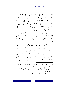قال: قال رسول الله ﷺ «**يا فلان إذا أويت إلى فراشك فقل**: اللهم أسلمت نفسي إليك `` ووجهت وجهي إليك، وفوضت أمرى إليك، وألجأت ظهرى إليك، رغبة ورهبة إليك، لا ملجأ ولا منجى منك إلا إليك، آمنت بكتابك الذي أنزلت، ونبيك الذي أرسلت، فإنك إن مت من ليلتك مت على الفطرة، وإن أصبحت أصبت خيرًا » متفق عليه<sup>(٢)</sup>.

وفي رواية في الصحيحين عن البراء قال: قال لي رسول الله ﷺ «إذا أتيت مضجعك فتوضأ وضوءك للصلاة، ثم اضطجع على شقك الأيمن وقل: وذكر نحوه، ثم قال: واجعلهن آخر ما تقو ل».

٨– الثامن: عن أبي بكر الصديق –رضي الله عنه– عنه عبد الله بن عثمان بن عامر بن عمر بن كعب بن سعد بن تيم بن مرة ابن كعب بن لؤي بن غالب القرشي التيمي رضي الله عنه وهو وأبوه وأمه صحابة رضي الله عنهم قال: نظرت إلى أقدام المشركين ونحن في الغار وهم على رءوسنا فقلت: يا رسول الله لو أن أحدهم نظر تحت قدميه لأبصرنا، فقال: «**ما ظنك يا أبا بك**و **باثنين الله** 

ي أي جعلتها منقادة لك، طائعة لحكمك، راضية بقضائك قانعة بقدرك ) وألجأت، أي: أسندت ظهري إليك، أي: إلى حفظك، ورغبة ورهبة إليك، أي طمعًا في ثوابك، وحوفًا من عقابك، وقوله ﷺ على الفطرة، أي: على الإيمان. البخاري (١١/ ٩٤، ٩٤) ومسلم (٢٣٨١).

$$
\tilde{\mathbf{y}}_i
$$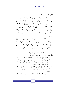$\mathbf{t}^{(1)}$ ثالثهما؟» $^{(1)}$  متفق عليه

٩- التاسع: عن أم المؤمنين أم سلمة، واسمها هند بنت أبي أمية حذيفة المخزومية، رضي الله عنها أن النبي ﷺ كان إذا خرج من بيته قال: «بسم الله توكلت على الله، اللهم إني أعوذ بك أن أضل<sup>(٣)</sup>أو أضل أو أزل أو أزل، أو أظلم أو أظلم، أو أجهل أو يجهل على» حديث صحيح رواه أبو داود والترمذي<sup>(٤)</sup> وغيرهما بأسانيد صحيحة، قال الترمذي: حديث حسن صحيح وهذا لفظ أبي داو د.

١٠– العاشر: عن أنس رضي الله عنه قال: قال رسول الله ﷺ «من قال يعني إذا خرج من بيته — بسم الله توكلت على الله، ولا حول ولا قوة إلا بالله، يقال له: هديت وكفيت ووقيت، وتنحى عنه الشيطان» رواه أبو داود والترمذي، والنسائي<sup>(٥)</sup> وغيرهم،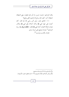وقال الترمذي: حديث حسن، زاد أبو داود فيقول: يعني الشيطان لشيطان آحر: كيف لك برحل قد هدي وكفي ووقي؟

١١– الحادي عشر: وعن أنس رضي الله عنه قال: كان أخوان على عهد النبي ﷺ وكان أحدهما يأتي النبي ﷺ والآخر يحترف فشكا المحترف أحاه للنبي ﷺ فقال: «**لعلك ترزق به**» رواه الترمذي<sup>(١)</sup> بإسناد صحيح على شرط مسلم. يحترف يكتسب ويتسبب<sup>(٢</sup>).

(1) الترمذي (٢٣٤٦) وإسناده صحيح. (2) رياض الصالحين للإمام النووي (٧٦–٨١) بتحقيق شعيب الأرنؤوط.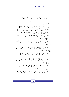

۱۳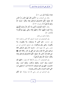هَدَانَا سُبُلَنَا﴾ [إبراهيم: ١٢].

وقال عن أصحاب نبيه ﴿الَّذِينَ قَالَ لَهُمُ النَّاسُ إِنَّ النَّاسَ قَدْ جَمَعُوا لَكُمْ فَاحْشَوْهُمْ فَزَادَهُمْ إِيمَانًا وَقَالُوا حَسْبُنَا اللَّهُ وَنَعْمَ الْوَكِيلُ﴾ [آل عمران: ١٧٣].

وقال: ﴿إِنَّمَا الْمُؤْمِنُونَ الَّذِينَ إِذَا ذُكِرَ اللَّهُ وَجِلَتْ قُلُوبُهُمْ وَإِذَا تُليَتْ عَلَيْهِمْ آيَاتُهُ زَادَتْهُمْ إِيمَانًا وَعَلَى رَبِّهِمْ يَتَوَكَّلُونَ﴾ [الأنفال: ٢].

والقرآن مملوء من ذلك.

وفي الصحيحين في حديث السبعين ألفا الذين يدحلون الجنة بغير حساب، «هم الذين لا يسترقون، ولا يتطيرون، ولا **يكتوون، وعلى ربمم يتوكلون»** وفي صحيح البخاري عن ابن عباس رضي الله عنهما قال: «حسبنا الله ونعم الوكيلن قالها إبراهيم صلى الله عليه وسلم حين ألقى في النار، وقالها محمد ﷺ حين قالوا﴿إِنَّ النَّاسَ قَدْ جَمَعُوا لَكُمْ فَاخْشَوْهُمْ فَزَادَهُمْ إِيمَانًا وَقَالُوا حَسْبُنَا اللَّهُ وَنعْمَ الْوَكيلُ﴾.

وفي الصحيحين: أن رسول الله ﷺ كان يقول: «**اللهم لك** أسلمت وبك آمنت، وعليك توكلت، وإليك أنبت، وبك خاصمت، اللهم إني أعوذ بعزتك، لا إله إلا أنت، أن تضلني أنت الحي الذي لا يموت والجن والإنس يموتون».

وفي الترمذي عن عمر رضي الله عنه مرفوعًا: «**لو أنكم**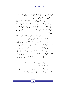تتوكلون على الله حق توكله لرزقكم كما يرزق الطير، تغدو خماصًا وتروح بطانًا» وقال الترمذي: حسن صحيح.

وفي السنن عن أنس رضي الله عنه قال: قال رسول الله ﷺ «من قال يعني إذا خرج من بيته بسم الله، توكلت على الله، ولا حول ولا قوة إلا بالله، يقال له: هديت ووقيت وكفيت، فيقول الشيطان لشيطان آخر: كيف لك برجل قد هدى وكفى ووقى؟»

التوكل نصف الدين، والنصف الثاني الإنابة فإن الدين استعانة وعبادة فالتوكل هو الاستعانة والإنابة هي العبادة.

ومترلته: أوسع المنازل وأجمعها، ولا تزال معمورة بالنازلين لسعة متعلق التوكل، وكثرة حوائج العالمين وعموم التوكل، ووقوعه من المؤمنين والكفار والأبرار، والفجار والطير والوحش والبهائم، فأهل السموات والارض المكلفون وغيرهم في مقام التوكل، وإن تباين متعلق توكلهم، فأولياؤه وخاصته يتوكلون عليه في الإيمان، ونصرة دينه، وإعلاء كلمته، وجهاد أعدائه، وفي محابه وتنفيذ أوامره .

ودون هؤلاءِ من يتوكل عليه في استقامته في نفسه، وحفظ حاله مع الله، فارغًا عن الناس.

ودون هؤلاء من يتوكل عليه في معلوم يناله منه، من رزق أو عافية، أو نصر على عدو، أو زوجة أو ولد، ونحو ذلك.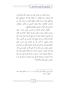ودون هؤلاء من يتوكل عليه في حصول الإثم والفواحش، فإن أصحاب هذه المطالب لا ينالوها غالبًا إلا باستعانتهم بالله وتوكلهم عليه، بل قد يكون توكلهم أقوى من توكل كثير من أصحاب الطاعات، ولهذا يلقون أنفسهم في المتالف والمهالك، معتمدين على الله أن يسلمهم، ويظفرهم بمطالبهم.

فأفضل التوكل التوكل في الواحب أعيى: واحب الحق، وواحب الخلق، وواحب النفس وأوسعه وأنفعه: التوكل في التأثير في الخارج في مصلحة دينية، أو في دفع مفسدة دينية، وهو توكل الأنبياء في إقامة دين الله، ودفع فساد المفسدين في الأرض، وهذا توكل ورثتهم، ثم الناس بعد في التوكل على حسب همهم ومقاصدهم، فمن متوكل على الله في حصول الملك ومن متوكل في حصول رغيف، ومن صدق توكله على الله في حصول شيء ناله، فإن كان محبوبًا له مرضيات كانت له فيه العاقبة المحمودة وإن كان مسخوطًا مبغوضًا كان ما حصل له بتوكله مضرة عليه، وإن كان مباحًا حصلت له مصلحة التوكل دون مصلحة ما توكل فيه إن لم يستغن به على طاعته والله أعلم<sup>(١</sup>).

(1) مدارج السالكين لابن القيم (٢/ ١١٢– ١١٤) بتحقيق محمد حامد الفقى رحمه الله.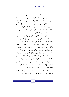خلق التوكل على الله تعالى

المسلم لا يرى التوكل على الله تعالى في جميع أعماله واجبًا خلقيًا فحسب بل يراه فريضة دينية، ويعده عقيدة إسلامية وذلك لأمر الله تعالى به في قوله: ﴿وَعَلَى الله فَتَوَكَّلُوا إِنْ كُنْتُمْ مُؤْمنينَ﴾ [المائدة: ٢٣] وقوله: ﴿وَعَلَى الله فَلْيَتَوَكَّلِ الْمُؤْمِنُونَ﴾ [التغابر: ١٣] لهذا كان التوكل المطلق على الله سبحانه وتعالى جزءًا من عقيدة المؤمن بالله تعالى.

والمسلم إذ يدين لله تعالى بالتوكل عليه، والإطراح الكامل بين يديه، لا يفهم من التوكل ما يفهمه الجاهلون بالإسلام، وخصوم عقيدة المسلمين من أن التوكل مجرد كلمة تلوكها الألسن، ولا تعيها القلوب، وتتحرك ها الشفاه، ولا تفهمها العقول، أو تترواها الأفكار، أو هو نبذ الأسباب، وترك العمل، والقنوع والرضى بالهون والدون تحت شعار التوكل على الله، والرضا بما تجري به الأقدار لا أبدًا بل المسلم يفهم التوكل الذي هو جزء من إيمانه وعقيدته أنه طاعة لله بإحضار كافة الأسباب المطلوبة لأي عمل من الأعمال التي يريد مزاولتها والدحول فيها، فلا يطمع في ثمرة بدون أن يقدم أسباها، ولا يرحو نتيجة ما بدون أن يضع مقدمتها، غير أن موضوع إثمار تلك الأسباب، وإنتاج تلك المقدمات يفوضه إلى الله سبحانه وتعالى إذ هو القادر عليه دون سواه.

فالتوكل عند المسلم إذًا هو عمل وأمل، مع هدوء قلب وطمأنينة نفس، واعتقاد جازم أن ما شاء الله كان وما لم يشأ لم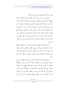يكن، وأن الله لا يضيع أحر من أحسن عملاً.

والمسلم إذ يؤمن بسنن الله في الكون فيعد للأعمال أسباها المطلوبة لها، ويستفرغ الجهد في إحضارها وإكمالها لا يعتقد أبدًا أن الأسباب وحدها كفيلة بتحقيق الأغراض، وإنجاح المساعي، لا، بل يري وضع الأسباب أكثر من شيء أمر الله به، يجب أن يطاع فيه كما يطاع في غيره مما يأمر به وينهي عنه، أما الحصول على النتائج والفوز بالرغائب فقد وكل أمرهما إلى الله تعالى، إذ هو القادر على ذلك دون غيره، وأن ما شاء الله كان وما لم يشأ لم يكن، فكم من عامل كادح لم يأكل ثمرة عمله وكدحه وكم من مزارع لم يحصد ما زر ع.

ومن هنا كانت نظرة المسلم إلى الأسباب، أن الاعتماد عليها وحدها واعتبارها هي كل شيء في تحقيق المطلوب كفر وشرك، يتبرأ منها، وأن ترك الأسباب المطلوبة لأي عمل وإهمالها وهو قادر على إعدادها وإيجادها فسق ومعصية يحرمها ويستغفر الله تعالى منها.

والمسلم في نظرته هذه إلى الأسباب مستمد فلسفتها من روح إسلامه وتعاليم نبيه محمد ﷺ فرسول الله كان في حروبه الطويلة العديدة لا يخوض معركة حتى يعد لها عدقما ويهيىء لها أسباها، فيختار حتى مكان المعركة، وزمالها فقد أثر عنه ﷺ أنه كان لا يشن غارة في الحر إلا بعد أن يبرد الجو، ويتطلف الهواءِ من آخر النهار، بعد أن يكون قد رسم خطته، ونظم صفوفه، وإذا فرغ من كل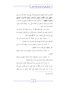الأسباب المادية المطلوبة لنجاح المعركة رفع يديه سائلا الله عز وحل «اللهم مترل الكتاب ومجري السحاب وهازم الأحزاب اهزمهم وا**نصرنا عليهم**»<sup>(١)</sup> وكذلك كان هديه ﷺ في الجمع بين الأسباب المادية والروحية، ثم يعلق أمر نجاحه على ربه، وينيط فلاحه وفوزه بمشبئة مولاه هذا مثال.

ومثال آخر: فقد انتظر ﷺ أمر ربه في الهجرة إلى المدينة بعد أن هاجر إليها جل أصحابه، وجاءه الإذن من الله تعالى بالهجرة فما هي الترتيبات التي اتخذها رسول الله ﷺ لهجرته إلها:

١- إحضار رفيق من حير الرفقاء ألا وهو صاحبه أبو بكر الصديق رضي الله عنه ليصحبه في طريق إلى داره الهجرة.

٢- إعداد زاد السفر من طعام وشراب، ربطته أسماء بنت أبي بكر بنطاقها حتى لقبت بذات النطاقين.

٣- إعداد راحلة ممتازة للركوب عليها في هذا السفر الشاق الطويل.

٤- إحضار خريت (حغرافي) عالم بمسالك الطريق ودروها الوعرة ليكون دليلا وهاديا في هذه الرحلة الصعبة.

٥- ولما أراد أن يخرج من بيته الذي طوقه العدو وحاصره فيه حتى لا ينفلت منه أمر ﷺ ابن عمه على بن أبي طالب رضي الله عنه أن ينام على فراشه تمويها على العدو الذي ما برح ينتظر

19

متفق عليه.  $(1)$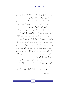خروجه من المترل ليفتك به ثم خرج وترك العدو ينتظر قومه من فراشه الذي يتراءى لهم من خلال شقوق الباب.

٦– لما طلبه المشركون واشتدوا وراءه يبحثون عنه وعن صاحبه أبي بكر الصديق الذي فر معه، أوى إلى غار ثور فدخل فيه ليستتر عن أعين طالبيه الناقمين الحادقين عليه.

٧- لما قال له أبو بكر: لو أن أحدهم نظر تحت قدمه لأبصرنا يا رسول الله قال له: «**ما ظنك باثنين الله ثالثهما**»؟.

فمن حلال هذه الحادثة التي تجلت فيها حقائق الإيمان والتوكل معا يشاهد أن الرسول ﷺ كان لا ينكر الأسباب، ولا يعتمد عليها، وأن آحر الأسباب للمؤمن إطراحه بين يدى الله، وتفويضه أمره إليه في ثقة واطمئنان إن الرسول ﷺ لما استنفذ جميع الوسائل في طلب النجاة حتى حشر نفسه التي طلب النجاة لها في غار مظلم تسكنه العقارب والحيات، قال في ثقة المؤمن ويقين المتوكل لصاحبه لما ساوره الخوف: «لا تحزن إن الله معنا، ما ظنك يا أبا بكر باثنين الله ثالثهما»؟<sup>(١)</sup>.

ومن هذا الهدي النبوي والتعليم المحمدي اقتبس المسلم نظرته تلك إلى الأسباب، فليس هو فيها مبتدعًا ولا متنطعًا، وإنما هو مؤتس ومقتد.

أما الاعتماد على النفس فإن المسلم لا يفهم منه ما يفهمه ر 1) , واه البخاري .

٢.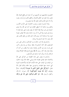المحجوبون بمعاصيهم عن أنفسهم من أنه عبارة عن قطع الصلة بالله تعالى، وأن العبد هو الخالق لأعماله، والمحقق لكسبه وأرباحه، بنفسه وأنه لا دحل الله في ذلك، تعالى الله عما يتصورون.

وإنما المسلم إذ يقول بوحوب الاعتماد على الله في الكسب والعلم يريد بذلك أنه لا يظهر افتقاره إلى أحد غير الله، ولا يبدى احتياجه إلى غير مولاه فإذا أمكنه أن يقوم بنفسه على عمله فإنه لا يسنده إلى غيره، وإذا أتى له أن يسد حاجته بنفسه فلا يطلب معونة غيره، ولا مساعدة أحد سوى الله، لما في ذلك من تعلق القلب بغير الله، وهو ما لا يحبه المسلم ولا يرضاه.

والمسلم في هذا هو سالك درب الصالحين، وماض على سنن الصديقين، فقد كان أحدهم إذا سقط سوطه من يده وهو راكب على فرسه يترل إلى الأرض ليتناوله بنفسه ولا يطلب من أحد أن يناوله إياه، وقد كان رسول الله ﷺ يبايع المسلم إقامة الصلاة وإيتاء الزكاة، وأن لا يسأل أحدا حاجته غير الله تعالى.،

والمسلم إذ يعيش على هذه العقيدة من التوكل على الله والاعتماد عليه يغذي عقيدته هذه وينمى خلقه ذاك بإيراد حاطره من الوقت إلى الوقت على هذه الآيات القرآنية والأحاديث النبوية التي استمد منها عقيدته، واستوحى منها خلقه وذلك لقول الله تعالى: ﴿وَتَوَكَّلْ عَلَى الْحَيِّ الَّذِي لا يَمُوتُ﴾ [الفرقان: ٥٨] وقولهك ﴿إِنَّ اللَّهُ يُحبُّ الْمُتَوَكِّلِينَ﴾ [آل عمران: ١٥٩]، وكقول الرسول ﷺ: «لو أنكم تتوكلون على الله حق توكله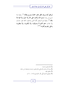لرزقتم كما يرزق الطير تغدو خماصًا وتروح بطانًا»<sup>(١)</sup>، وقوله إذا حرج من بيته «بسم الله توكلت على الله ولا حول ولا قوة إلا بِالله» (٢)، وقوله في السبعين ألفًا الذين يدخلون الجنة بغير حساب ولا عذاب «هم الذي لا يسترقون، ولا يكتوون، ولا يتطيرون وعلى ربمم يتوكلون»<sup>(٤)(٤)</sup>.

> الترمذي وحسنه) (1) (2) رواه أبو داود والنسائي والترمذي، وحسنه وصححه ابن حبان. (3) متفق عليه. (4) منهاج المسلم لأبي بكر الجزائري (٥٦، ١٦٠).

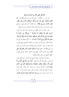التوكل على الله من أسباب الرزق

عن عمر بن الخطاب، رضي الله عنه عن النبي ﷺ قال: «**لو** أنكم توكلون على الله حق توكله، لرزقكم كما يرزق الطير، تغدو خماصًا، وتروح بطانًا» رواه الإمام أحمد والترمذي والنسائي وابن ماجه، وابن حبان والحاكم، وقال الترمذي: حسن صحيح.

هذا الحديث أصل عظيم في التوكل، وقد قال الله تعالى: ﴿وَمَنْ يَتَّقِ اللَّهَ يَجْعَلْ لَهُ مَخْرَجًا \* وَيَرْزُقْهُ منْ حَيْثُ لا يَحْتَسبُ وَمَنْ يَتَوَكَّلْ عَلَى الله فَهُوَ حَسْبُهُ إِنَّ اللهَ بَالغُ أَمْرِه قَدْ جَعَلَ اللهُ لكُلِّ شَيْءٍ قَدْرًا﴾ [الطلاق: ٢، ٣] وحقيقة التوكل هو اعتماد القلب على الله عز وجل في استجلاب المصالح ودفع المضار، قال سعيد بن جبير: «التوكل جماع الإيمان»، وفي حديث ابن عباس عن النبي ﷺ قال: «من سره أن يكون أقوى الناس فليتوكل على الله»، وفي الدعاء المأثور: اللهم إني أسألك صدق التوكل عليك، اللهم اجعلني ممن توكل عليك فكفيته.

واعلم أن التوكل لا ينافي السعى في الأسباب، إن الطير تغدو في طلب رزقها وقد قال الله تعالى: ﴿وَمَا منْ دَابَّة في الْمَأْرْضِ إِلَّا عَلَى اللَّه رزْقُهَا وَيَعْلَمُ مُسْتَقَرَّهَا وَمُسْتَوْدَعَهَا كُلَّ في كتَاب هُبينٍ﴾ [هود: ٦] قال يوسف بن أسباط: كان يقال: اعمل عمل رحل لا ينجيه إلا عمله، وتوكل توكل رحل لا يصيبه إلا ما كتب له في حديث ثوبان عن النبي ﷺ «إن ا**لعبد ليحرم الرزق بالذنب**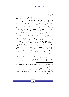تصيبه»<sup>(۱</sup>).

وفي حديث حابر عن النبي ﷺ «**لن تموت نفس حتى** تستكمل رزقها، فاتقوا الله وأجملوا في الطلب، خذوا ما حل، ودعوا ما حرم»<sup>(٢)</sup> وقال ابن عباس: كان أهل اليمن يحجون ولا يتزودون ويقولون: نحن المتوكلون فإذا قدموا مكة سألوا الناس فأنزل الله هذه الآية: ﴿وَتَزَوَّدُوا فَإِنَّ خَيْرَ الزَّادِ التَّقْوَى﴾ [البقرة: ١٩٧] وقال معاوية بن قرة: لقى عمر بن الخطاب ناسا من أهل اليمن فقال من أنتم؟ قالوا: نحن المتوكلون، قال: «بل أنتم المتأكلون إنما المتوكل الذي يلقى حبه في الأرض ويتوكل على الله» وقد قال النبي ﷺ «المؤمن القوي خير وأحب إلى الله من المؤمن الضعيف وفي كل خير، احرص على ما ينفعك واستعن بالله ولا تعجز، وإن أصابك شيء فلا تقل لو أيي فعلت كذا لكان كذا، ولكن قل: قدر الله وما شاء فعل، فإن لو تفتح عمل الشيطان» رواه مسلم<sup>(٣)</sup>.

وما ينبغي أن يعلم، ما قاله طائفة من العلماء، وهو: أن الالتفات إلى الأسباب شرك في التوحيد، ومحو الأسباب تكون

(1) رواه أحمد والنسائي بإسناد صحيح وابن حبان والحاكم وصححه وأقره الذهبي. (2) رواه ابن ماحه والحاكم وقال: صحيح على شرط مسلم. (3) محاسن الدين على متن الأربعين ٤٥٤ وانظر حامع العلوم والحكم  $\cdot$ (۳۷۹)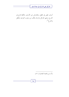$\Box$ 

أسباب نقص في العقل، والإعراض عن الأسباب بالكلية قدح في الشرع، ومعنى التوكل والرجاء يتألف من وجوب التوحيد والعقل والشرع<sup>(١</sup>).

(1) شرح العقيدة الطحاوية (٢٠٥).

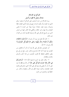# التوكل في الإسلام نشاط وعمل لا قعود وكسل

يريد الإسلام من حث المسلمين على التوكل أن يعتزوا برهم الذي منه العزة، وأن يكون الواحد منهم في عمله الذي اعتقده نافعًا وصوابًا، وعزم عليه، مقدامًا جريعًا بعيدًا عن التردد لا يخشى الصعاب ولا يهاب غير حالقه، ونكتفي هذا القدر ههنا من غرض الدين من تشريع التوكل على الله ونسوق للقارئ آيات من القرآن تىبن ذلك.

١– قال الله تعالى في سورة آل عمران: ﴿إِذْ هَمَّتْ طَائِفَتَان منْكُمْ أَنْ تَفْشَلا وَاللَّهُ وَلَيُّهُمَا وَعَلَى الله فَلْيَتَوَكَّل الْمُؤْمِنُونَ﴾  $\lceil \mathcal{N} \rceil$  : 177

أمر للمؤمنين بالتوكل على الله بعد أن ذكر أن طائفتين من المؤمنين في غزوة أحد همتا بالرحوع والجبن حين رحع ابن أبي مع بعض المنافقين فحفظ الله قلوب المؤمنين، من هذا الجبن وأمرهم بالثبات والإقدام.

٢– وقال تعالى في السورة نفسها الآية ١٥٩ ﴿وَشَاوِرْهُمْ في الأَمْرِ فَإِذَا عَزَمْتَ فَتَوَكَّلْ عَلَى اللهُ﴾ أمر الله نبيه ﷺ إذا عزم على أن أمر أن يمضي فيه ويتوكل على الله لا على مشاورتمم والعزم قصد الإمضاء، والحزم جودة النظر في الأمر وتنقيحه والحذر من الخطأ فيه، والمشاورة من الحزم.

27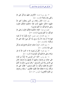٣- وفي سورة النساء: ﴿فَأَعْرِضْ عَنْهُمْ وَتَوَكَّلْ عَلَى الله وَكَفَى بِالله وَكِيلاً﴾ [النساء: ٨١].

و في المائدة ﴿قَالَ دَجُلانِ مِنَ الَّذِينَ يَخَافُونَ أَنْعَمَ اللَّهُ عَلَيْهِمَا ادْخُلُوا عَلَيْهِمُ الْبَابَ فَإِذَا دَخَلْتُمُوهُ فَإِنَّكُمْ غَالبُونَ وَعَلَى الله فَتَوَكَّلُوا إنْ كُنْتُمْ مُؤْمنينَ﴾.

انظروا إلى قوله: ﴿فَإِذَا دَخَلْتُمُوهُ فَإِنَّكُمْ غَالَبُونَ وَعَلَى الله فَتَوَكَّلُوا إنْ كُنْتُمْ مُؤْمنينَ﴾ [المائدة: ٢٣].

٥ – وفي الأعراف: قول شعيب: ﴿وَمَا يَكُونُ لَنَا أَنْ نَعُودَ فيهَا إلا أَنْ يَشَاءَ اللَّهُ رَبُّنَا وَسعَ رَبُّنَا كُلَّ شَيْء علْمًا عَلَى الله تَوَكَّلْنَا﴾. [الأعراف: ٨٩]

٦- وفي الأنفال: ﴿وَإِنْ جَنَحُوا لِلسَّلْمِ فَاجْنَحْ لَهَا وَتَوَكَّلْ عَلَى اللهُ﴾. [الأنفال: ٦١]

٧- وفي التوبة: ﴿قُلْ لَنْ يُصيبَنَا إِلا مَا كَتَبَ اللَّهُ لَنَا هُوَ مَوْلاَنَا وَعَلَى الله فَلْيَتَوَكَّلِ الْمُؤْمِنُونَ﴾ [التوبة: ٥١].

٨– وفي يونس: ﴿فَعَا آمَنَ لِمُوسَى إِلا ذُرِّيَّةٌ منْ قَوْمه عَلَى خَوْف منْ فرْعَوْنَ وَمَلَئهمْ أَنْ يَفْتنَهُمْ وَإِنَّ فرْعَوْنَ لَعَال في الأَرْضِ وَإِنَّهُ لَمنَ الْمُسْرِفينَ \* وَقَالَ مُوسَى يَا قَوْمِ إِنْ كُنْتُمْ آمَنْتُمْ بِاللهُ فَعَلَيْه تَوَكَّلُوا إِنْ كُنْتُمْ مُسْلمينَ \* فَقَالُوا عَلَى الله تَوَكَّلْنَا رَبَّنَا لا تَجْعَلْنَا فَتْنَةً للْقَوْمِ الظَّالَمِينَ \* وَنَجِّنَا برَحْمَتكَ منَ الْقَوْمِ الْكَافِرِينَ﴾. [يونس: ٨٣–٨٦].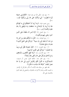٩– وفي هود حكي الله عن هود قوله: ﴿فَكَيْدُونِي جَمِيعًا ثُمَّ لا تُنْظرُون \* إنِّي تَوَكَّلْتُ عَلَى الله رَبِّي وَرَبِّكُمْ﴾ [هود:  $\sqrt{2}$ 

وعن شعيب قوله: ﴿وَمَا أُرِيدُ أَنْ أُخَالِفَكُمْ إِلَى مَا أَنْهَاكُمْ عَنْهُ إنْ أُرِيدُ إلا الإصْلاحَ مَا اسْتَطَعْتُ وَمَا تَوْفيقي إلا بالله عَلَيْه تَوَكَّلْتُ﴾.[هود: ٨٨].

١٠- وفي النحل: ٩٩ ﴿إِنَّهُ لَيْسَ لَهُ سُلْطَانٌ عَلَى الَّذِينَ آمَنُوا وَعَلَى رَبِّهِمْ يَتَوَكَّلُونَ﴾،

١١- وفي الفرقان: ٥٨: ﴿قُلْ مَا أَسْأَلُكُمْ عَلَيْه منْ أَجْرِ إلا مَنْ شَاءَ أَنْ يَتَّخذَ إلَى رَبِّه سَبيلاً \* وَتَوَكَّلْ عَلَى الْحَيِّ الَّذي لا يَمُوتُ وَسَبِّحْ بحَمْده﴾.

١٢– وفي الشعراء: ٢١٧: ﴿فَإِنْ عَصَوْكَ فَقُلْ إِنِّي بَرِيءٌ ۖ ممَّا تَعْمَلُونَ \* وَتَوَكَّلْ عَلَى الْعَزِيزِ الرَّحيمِ﴾.

١٣- وفي الأحزاب ٤٨: ﴿وَلَا تُطَعَ الْكَافِرِينَ وَالْمُنَافِقِينَ وَدَعْ أَذَاهُمْ وَتَوَكَّلْ عَلَى الله وَكَفَى بالله وَكيلاً》.

١٤– وفي غافر ٤٤: حكاية لقول مؤمن آل فرعون: ﴿فَسَتَذْكُرُونَ مَا أَقُولُ لَكُمْ وَأُفَوِّضُ أَمْرِي إِلَى الله إِنَّ اللَّهَ بَصيرٌ ۚ بِالْعبَادِ \* فَوَقَاهُ اللَّهُ سَيِّئَاتِ مَا مَكَرُوا﴾.

فقد ظهر من سياق هذه الآيات أن الأمر بالتوكل أو الإخبار به لتثبيت القلب وعدم الاكتراث بالمخاوف وللمضى في تنفيذ العزم بالاعتماد على الله.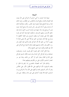#### النتىجة

نتيجة هذا البحث يا أخى المسلم أن التوكل على الله مبعث قوة العزيمة والثبات ودفع التردد والنكوص عن المطالب، وهو لذلك عدة روحية للنجح وقوة معنوية وهو للنفس سكون وطمأنينة ذلك أن صاحبه يوقن أنه قد أوى إلى ركن شديد وأنه وضع أصله حيث يجب أن يوضع بعد بذله جهده في مباشرة السبب الذي أرشده إليه خالق الأسباب وملهم التمسك به فيكون لقوة يقنه أثرها في نفسه فيظل ثابتًا على إمضاء أمره وقصد الوصول إلى الغاية كالطود لا يتزحزح، فإذا قام بدعوة إلى الحق متوكلاً على الله مضى قدمًا لا يتهيب أحدًا من حلق الله لأن المتوكل عليه والذي عليه المعول هو رب الخلق وهو مالك نواصيهم فيقوم بتلك الدعوة مع التوكل على الله حق القيام ويكون عونه على النجح توكله.

وإذا قاتل أعداء الحق لنصرة الحق قويت نفسه، وضوعفت شجاعته وزاده التوكل كل سماحة ببذل نفسه فكان المسلم المتوكل على الله في القتال يعدل اثنين أو أكثر من ذلك، وهذا هو سر انتصار المسلمين الأولين على من يكثرهم ويفوقهم عددًا.

ولذلك قال أحد الفضلاء المعاصرين لنا: إلهم إذا قالوا لم يتقدم الشرقيون الآن لتوكلهم على الله فأقول الأمر على العكس وهو أن تأخر الشرقيين لعدم توكلهم على الله، إذ أن التوكل يورث المسلمين العزة فلا يعتمد أحدهم على ذي جاه وسلطان حتى يذل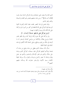لذي الجاه ولا يعتمد على شجاعته وزاده التوكل سماحة ببذل نفسه [فكان أنت ظالم]'``، ومن هذه صفتهم فجدير هم التقدم والسيادة والمجد والعز الدائم.

وإذن فنحن في هذا العصر طغت علينا المادة وأعوزتنا القوة الروحية قوة التوكل على الله فأحفقنا في كثير من أمورنا ولو توكلنا على الله لكان الله حسبنا وكافينا ما يهمنا:

﴿وَمَنْ يَتَوَكَّلْ عَلَى الله فَهُوَ حَسْبُهُ﴾ [الطلاق: ٣].

ولو توكلنا على الله حق توكله لرزقنا كما يرزق الطير تغدو خماصًا وتروح بطانًا، ولأمكننا من نواصي أعدائنا ولسخر لنا ما أودعه في ملكه من قوى ومنافع، وعلى الجملة لكنا الأعلين في هذه الحباة وفي الحباة الباقبة.

نسأل الله سبحانه الذي يعطي من يشاء ويمنع من يشاء أن يمنحنا وإياكم التوفيق للتوكل عليه سبحانه، التوكل الذي يرضاه جل جلاله والذي هو فخر للإسلام والمسلمين والذي هو عمل وقوة ونشاط لا عجز وكسل وحرمان وخمول، وأن يرزقنا جميعًا الاقتداء بسيد الأنبياء والمرسلين صلوات الله وسلامه عليهم أجمعين".

ز يادة غير مفهومة.) (1)

انظر كتاب مجموعة وسائل دينية وعلمية، فضيلة الأستاذ محمد ابن عبد  $(2)$ الله الجزار (١٢٢-١٣٦).

۳.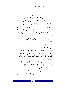# التوكل على الله وأثره في بث السكينة في النفوس

التوكل أثر من آثار الإيمان فالذي يؤمن بأن الله بيده تصاريف الحياة وبيده النفع والضر، يترك الأمر إليه ويرضى بمشيئته فلا يفزعه المستقبل وما يخبئه له من مفاجآت، ويستعيض عن الخوف بسكينة واطمئنان عدل الله ورحمته، ولهذا يقرر الإسلام بأن الإيمان يجب أن يصاحبه التوكل ﴿وَعَلَى الله فَتَوَكَّلُوا إِنْ كُنْتُمْ مُؤْمِنينَ﴾ [المائدة:  $\sqrt{77}$ 

﴿اللَّهُ لا إِلَهَ إِلا هُوَ وَعَلَى الله فَلْيَتَوَكَّلِ الْمُؤْمِنُونَ﴾ [التغابن: ١٣].

والإسلام يحمل البشرى للمتوكلين ويعدهم الفضل من الله ونيل بركاته، انظر إلى هذه الآية الكريمة التي تمسح ما في نفوس المؤمنين من الخوف وتمدهم بقوة روحية يستطيعون ها التغلب على حوفهم وقلقهم ﴿فَمَا أُوتِيتُمْ منْ شَيْء فَمَتَاعُ الْحَيَاة اللُّنْيَا وَمَا عنْدَ الله خَيْرٌ وَأَبْقَى للَّذينَ آمَنُوا وَعَلَى رَبِّهِمْ يَتَوَكَّلُونَ﴾ [الشورى: ٣٦].

وورد في القرآن أيضًا آية أحرى تحمل الوعد الصادق بالمعونة والتأييد من الله: ﴿وَمَنْ يَتَوَكَّلْ عَلَى الله فَهُوَ حَسْبُهُ﴾ [الطلاق: ٣]. أي كافيه مما أهمه وأجزنه.

وهناك فئات من الناس في حاجة إلى التوكل أكثر من حاجة غيرهم إليه، وهم المصلحون الذين يجتازون دائمًا الطريق المملوء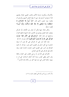بالأشواك، ويكونون عرضة للأذى والتعب المضيي، هؤلاء يعلمهم الله أن يفوضوا أمرهم إليه حتى لا يثبط الفشل هممهم ويأمرهم أن يقتدوا بنبيه شعيب الذي قال: ﴿إِنْ أُرِيدُ إِلاَّ الإِصْلاحَ مَا اسْتَطَعْتُ وَمَا تَوْفيقى إلا بالله عَلَيْه تَوَكَّلْتُ وَإِلَيْه أُنيبُ﴾ [هود: ۸۸].

ولكن هناك شبهة يمكن أن تتبادر إلى الأذهان بأن التوكل يضعف الهمة للعمل ويؤدي إلى الكسل، هذه الشبهة عالجها القرآن ودحضها في هذه الآية: ﴿وَشَاوِرْهُمْ فِي الأَمْرِ فَإِذَا عَزَمْتَ فَتَوَكَّلْ عَلَى الله إنَّ اللهَ يُحبُّ الْمُتَوَكِّلينَ﴾ [آل عمران: ٥٩ ١].

هذه الآية تدل على أن التوكل على الله يجب أن تسبقه المشاورة مع أهل الرأي في الطريق الذي يجب سلوكه، ثم العزم الصادق في السير على الطريق الذي استقرت المشارة عليه، وبعد ذلك يأتي التوكل على الله لنيل النجاح.

فالتوكل على الله هو زاد روحي للتغلب على الخوف والقلة وهو الذي يعطى المؤمن بسمة أمام أحلك الساعات التي تمر به ويهبه سكينة النفس التي حرم منها كثير من سكان هذه الأرض<sup>(١</sup>).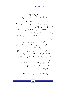باب قول الله تعالى ( ') ﴿وَعَلَى الله فَتَوَكَّلُوا إِنْ كُنْتُمْ مُؤْمنينَ﴾ س: ما معنى هذه الآية وبين مناسبتها لكتاب التوحيد؟ ج: يقول تعالى إن كنتم مؤمنين بالله ومصدقين به فلا تعتمدوا في جميع أموركم إلا عليه وحده.

ومناسبة الآية لكتاب التوحيد: أن التوكل على الله عبادة يجب إخلاصه فصرفه لغيره شرك ينافي التوحيد.

س: عرف التوكل واذكر أنواعه مع بيان حكمها وما علاقته بالايمان؟

ج: التوكل هو الاعتماد والتفويض وهو أربعة أنواع:

١– التوكل على الله في جميع الأمور من جلب المنافع ودفع المضار وهو واحب من شروط الإيمان.

٢- التوكل على المخلوقين في الأمور التي لا يقدر عليها إلا الله كالمتوكل على الأموات والغائبين ونحوهم من الطواغيت في رجاء مطالبهم من نصر أو رزق أو حفظ فهذا شرك أكبر ينافي التوحبد.

٣- التوكل على الأحياء الحاضرين كالتوكل على الأمير والسلطان ونحوهم فيما أقدرهم الله عليه من رزق أو دفع أذاء ونحو ذلك فهذا شرك أصغر .

۳۳

(1) الجامع الفريد للأسئلة والأجوبة على كتاب التوحيد (٤٤).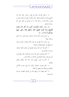٤- توكيل الإنسان غيره في فعل ما يقدر عليه نيابة عنه كالبيع والشراء والإحارة فهذا حائز ولكن لا يقول توكلت عليه بل يقول وكلته فإنه لو وكله فلا بد أن يتوكل في ذلك على الله سبحانه وتعالى:

قال تعالى: ﴿إِنَّمَا الْمُؤْمِنُونَ الَّذِينَ إِذَا ذُكِرَ اللَّهُ وَجِلَتْ قُلُوبُهُمْ وَإِذَا تُليَتْ عَلَيْهِمْ آيَاتُهُ زَادَتْهُمْ إِيمَانًا وَعَلَى رَبِّهِمْ يَتَوَكَّلُو نَ﴾ [الأنفال: ٢].

س: إشرح هذه الآية واذكر الشاهد منها للباب وما الذي بستفاد منها؟

ج: وصف الله المؤمنين في هذه الآية بصفات حميدة وصلوا بواسطتها إلى حقيقة الإيمان وكماله:

١– ألهم إذا ذكر الله وجلت قلوبمم أي خافت فأدوا فرائضه وتركوا ما فماهم عنه.

٢– أَنْهُمْ يَعْتَمَدُونَ عَلَى الله وحده ويتوكلون عَلَيْه ويفوضون أمورهم إليه، وهذه الصفة هي الشاهد من الآية للباب.

٣- أَهُم إذا تليت عليهم آيات الله ازداد إيماهُم وتحقق يقينهم.

٤- أفمم يقيمون الصلاة ويأتون بما على الوجه الأكمل بأوقاتها وواجباقما وشروطها وأركانها.

٥- ألهم ينفقون مما رزقهم الله من أموالهم النفقات الواجبة والمستحبة.

٣٤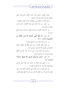وهذه الخصال الخمسة نالوا الجزاء الأوفي والدرجات العلى والمغفرة والرزق الكريم في حنات النعيم. وتفيد الآية: أن الإيمان يزيد بالطاعة كما أنه ينقص بالمعصية.

س: كيف رتب هذا الجزاء على هذه الأعمال الخمسة دون غيرها من الواجبات.

ج: لأن هذه الأعمال مستلزمة لفعل الواجبات وترك جميع المحرمات.

قال تعالى: ﴿يَا أَيُّهَا النَّبِيُّ حَسْبُكَ اللَّهُ وَمَنِ اتَّبَعَكَ مِنَ الْمُؤْمِنِينَ﴾ [الأنفال: ٢٤].

س: اشرح هذه الآية وبين مناسبتها للباب؟

ج: يقول تعالى مخاطبا رسوله محمد ﷺ الله كافيك وكافى أتباعك من المؤمنين فلا تحتاجون معه إلى أحد

ومناسبة هذه الآية للباب: هي أنه إذا كان الله هو الكافي لعبده وجب أن لا يتوكل إلا عليه.

قال تعالى: ﴿وَمَنْ يَتَــوَكَّلْ عَــلَمِي الله فَــهُوَ حَسْبُهُ﴾ [الطلاق: ٣].

س: ما معنى هذه الآية؟ وما الذي تدل عليه؟ وهو التوكل ينافي القيام بالأسباب أم لا؟ علل ما تقول؟

ج: معنى الآيي: أنه من يعتمد على الله فهو كافيه وتدل على فضل التوكل وأنه من أعظم الأسباب في حلب المنافع ودفع المضار،

ه ۳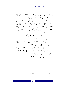والتوكل لا ينافي القيام بالأسباب لأنه من جملة الأسباب المأمور بما شرعًا فترك الأسباب المأمور بما قادح في التوكل.

عن ابن عباس رضي الله عنهما قال: «حسبنا الله ونعم الوكيل» قالها إبراهيم ﷺ حين ألقى في النار، وقال محمد ﷺ حين قالوا له: ﴿إِنَّ النَّاسَ قَدْ جَمَعُوا لَكُمْ فَاخْشَوْهُمْ فَزَادَهُمْ إِيمَانًا وَقَالُوا حَسْبُنَا اللَّهُ وَنعْمَ الْوَكيلُ﴾ [آل عمران: ١٧٣] رواه البخاري والنسائي.

> س: ما معنى: ﴿حَسْبُنَا اللَّهُ وَنعْمَ الْوَكِيلُ﴾. واذكر شيئًا من فضل هذه الكلمة؟

ج: معنى ﴿حَسْبُنَا اللَّهُ﴾ كافينا ومتولى أمورنا فلا نتكل إلا عليه، ﴿وَنعْمَ الْوَكِيلُ﴾ أي نعم الموكول إليه والمعتمد عليه.

ومن فضائل هذه الكلمة العظيمة ألها قول الخليلين عليهما الصلاة والسلام في الشدائد وحاء في الحديث «إ**ذا وقعتم في الأمر** العظيم فقولوا: حسبنا الله ونعم الوكيل»<sup>(١</sup>). والله أعلم وصلى الله وسلم على محمد.

(1) قال السيوطي رواه ابن مردويه ورمز لضعفه.

۳٦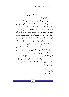التوكل على الله وما ينافيه

التوكل على الله:

**وهو تفويض الأمر** إلى الله سبحانه وتعالى والثقة به مع ما قدر له من التسبب ومثال ذلك أن يعتمد الإنسان على ربه ويعمل بيده وهذا أفضل من سؤال الناس لما ورد في الصحيحين من حديث الزبير رضي الله عنه: «لأن يأخذ أحدكم حبله ثم يأتي الجبل فيأتي بحزمة من حطب على ظهره فيبيعها فيستغنى بما خير له من أن يسأل الناس أعطوه أو منعوه»<sup>(١)</sup>، وفي حديث المقدام بن معدي كرب رضي الله عنه «ما أكل أحد طعامًا خيرًا من أن يأكل من عمل يده»<sup>(۲)</sup>، وقال: «وكان داود يأكل من عمل يده» وقد خصه بالذكر لأن داود لم يكن يعمل لحاجة بل كان ملكا.

والتوكل على الله محله القلب ولا ينافيه حركة الجوارح والعمل لقوله ﷺ للأعرابي: «ا**عقلها وتوكل»<sup>(٣)</sup> و**التوكل مع العمل صنوان لا يفترقان ومن أراد غير ذلك فقد حرف الحكم لقوله تعالى: ﴿فَامْشُوا فِي مَنَاكِبِهَا وَكُلُوا مِنْ رِزْقِهِ﴾ [الملك: ١٥].

بل إن الله يأمرنا بالأخذ بالأسباب المؤدية إلى حلب الرزق، قال تعالى: ﴿فَإِذَا قُضيَت الصَّلاةُ فَانْتَشرُوا في الأَرْضِ وَابْتَغُوا منْ فَضْلِ اللهِ﴾ [الجمعة: ١٠].

> (1) الصحيحين. (2) البخاري. (3) الترمذي عن أبي هريرة.

٣V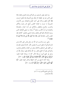وما عليه بعض المسلمين من التواكل وعدم العمل والبقاء عالة على الناس هو في حقيقته مما يتنافى مع الشريعة وقد فضل الرسول ﷺ الأخ المنفق وزكاه على أحيه المتفرغ للعبادة، ومن الأسباب المشروعة ما جرت به العادة كاللبس لدفع الحر والبرد والأكل والشرب والجوع والعطش والنكاح لمن أراد الولد، والصناعة والتجارة لمن أراد الكسب ونحوه<sup>(١</sup>)، وهذا رد عملي لأولئك الذين يرمون الإسلام بالتواكل والعجز وعدم السعى والعمل: كذلك فإن المؤمن مأمور بالمعاجلة لقول ﷺ «ما أنزل الله من داء إلا أنزل له شفاء»<sup>(۲)</sup>

وهي سبب والمسبب هو الله عز وحل وقس على ذلك ومن لازم التوكل أن تفعل السبب ثم تفوض الأمر كله لله لينجو الإنسان من القلق على المستقبل وكذلك ينجو من الخوف والفشل والمرض، والمتوكل يعلم أن النفع والضر بيد الله ولذلك فهو مرتبط بالله عز وجل في جميع أموره مرجعًا الأمر كله له سبحانه لقوله تعالى: ﴿وَإِلَيْهِ يُرْجَعُ الأَمْرُ كُلُّهُ فَاعْبُدْهُ وَتَوَكَّلْ عَلَيْهِ﴾ [هود: ٢٣]. وهذا كله لا يمنع من أخذ الحيطة والحذر لقوله تعالى: ﴿يَا

أَيُّهَا الَّذينَ آمَنُوا خُذُوا حذْرَكُمْ﴾ [النساء: ٧١].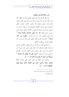أمور منافية للتوكل والعقيدة:

ومما ينافي التوكل والتوحيد تعليق النجاح بالأسباب فقط، لأن هذا مناف للتوحيد والمسبب هو الله، ومن ذلك نفي القدر والعياذ بالله وعدم التسليم بقضاء الله وقدره كادعاء النجاح بالعلم والاعتماد على ممارسة الكهانة والتصدق هما، أو إتيان الساحر أو المشعوذ لسؤاله عن معرفة المستقبل، وكذلك التنجيم وعلوم الرمل وضرب الودع لقوله ﷺ «إن الرقى والتمائم والتولة شرك»<sup>(١)</sup> ومنه قول بعضهم كما ورد في الحديث: «مطرنا بنوء كذا، وكذا»<sup>(٢)</sup> والواحب القول مطرنا بفضل الله ورحمته أو في نوء كذا وقولهم شفيت من الطبيب الفلاني.

والصحيح القول من الله ثم من علاج الطبيب الفلايي، ويدخل في ذلك التطير والتشاؤم كما يفعله بعض الناس عند حروجه في الصباح أو عزمه على السفر، ومن أعظم الأسباب للنجاح والرجوع إلى الله وتقواه: ﴿وَمَنْ يَتَّقِ اللَّهَ يَجْعَلْ لَهُ مَخْرَجًا \* وَيَرْزُقْهُ منْ حَيْثُ لا يَحْتَسبُ﴾ [الطلاق: ٢، ٣].

وكذلك لزوم الإيمان في طلب النصر على الأعداء: ﴿إِنَّا لَنَنْصُرُ رُسُلَنَا وَالَّذينَ آمَنُوا في الْحَيَاة الدُّنْيَا وَيَوْمَ يَقُومُ الأَشْهَادُ﴾ [غافر : ٥١].

> (1) أحرجه ابن ماجه وأبو داود وأحمد. متفق عليه.  $(2)$

$$
\overline{r}
$$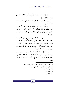وكذا إعداد القوة والجهاد ﴿وَأَعِدُّوا لَهُمْ مَا اسْتَطَعْتُمْ منْ قُوَّة﴾ [الأنفال: ٢٠].

ومن ذلك يتبين أن الأسباب منها ما هو أمر مادي ومنها ما هو أمر تعبدي.

ومما ينافي كمال التوحيد والعقيدة الحلف بغير الله لحديث «من حلف بغير الله فقد أشرك»<sup>(١)</sup> وكذلك الحلف بالبراءة من الإسلام لقوله ﷺ «من حلف بملة غير ملة الإسلام كاذبا فهو كما  $\mathfrak{gl}_{\lambda\lambda}^{(\mathbf{7})}$ قال

وسب الدهر للحديث القدسي «يؤ**ذيني ابن آدم يسب** ا**لدهر وأنا الدهر، أقلب الليل والنهار»<sup>(٣)</sup>، و**كذلك النياحة وضرب الخدود وشق الجيوب عند حدوث مصيبة كالموت أو ضياع المال لأن ذلك كله جزع شديد من قدر الله وللحديث «إن الميت يعذب ببكاء أهله عليه»<sup>(٤)</sup>.

ومن التوكل على الله أن لا يخرج المسلم من بلد وقع به الوباء إلى غيره وكراهة القدوم عليه أيضًا للحديث: «إ**ذا سمعتم بالطاعون** بأرض فلا تدخلوهـــا وإذا وقـــع بـــأرض وأنتم فيها فلا تخرجوا منها»<sup>(٥</sup>).

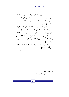ومن حسن اليقين والتوكل على الله أن لا يلتمس الإنسان رضى الناس عنه بسخط الله لحديث «**من التمس رضى الله بسخط** الناس كفاه الله مؤونة الناس ومن التمس رضا الناس بسخط الله وكله الله إلى الناس»<sup>(١)</sup>.

وهكذا فإن التوكل من أجمع أنواع العبادة وأعظمها لما ينشأ عنه من الأعمال الصالحة: قال الإمام أحمد: (التوكل عمل القلب) وقال ابن القيم: فظهر أن التوكل أصل لجميع مقامات الإيمان والإحسان ولجميع أعمال الإسلام قال الله تعالى: ﴿وَقَالَ هُوسَى يَا قَوْمٍ إنْ كُنْتُمْ آمَنْتُمْ بالله فَعَلَيْه تَوَكَّلُوا إنْ كُنْتُمْ مُسْلمينَ》  $\lceil \lambda \xi :$ يونس: ١٨٤].

وقال: ﴿رَبُّ الْمَشْرِقِ وَالْمَغْرِبِ لا إِلَهَ إِلا هُوَ فَاتَّخِذْهُ وَكِيلاً﴾ [المزمل: ٩]<sup>(٢)</sup>.

ا.هــــ، والله أعلم.

(1) رواه الترمذي. (2) أصول المنهج الإسلامي (٥٥).

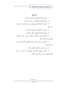المراجع ١– رياض الصالحين للإمام النووي رحمه الله. ٢– جامع العلوم والحكم لابن رحب رحمه الله. ٣- المحموعة الجليلة للشيخ فيصل بن عبد العزيز آل مبارك رحمه الله. ٤– مدارج السالكين لابن القيم رحمه الله ٢. ٥- منهاج المسلم للشيخ أبي بكر الجزائري. ٦- الجامع الفريد للأسئلة والأجوبة على كتاب التوحيد تأليف عبد الله الجار الله. ٧- مجموعة رسائل دينية وعلمية لفضيلة الأستاذ محمد بن عبد الله الجزار . ٨- روح الدين الإسلامي لعفيف طباره. ٩- أصول المنهج الإسلامي للشيخ عبد الرحمن بن عبد الكريم العبيد، وهو شرح لشعب الإيمان.